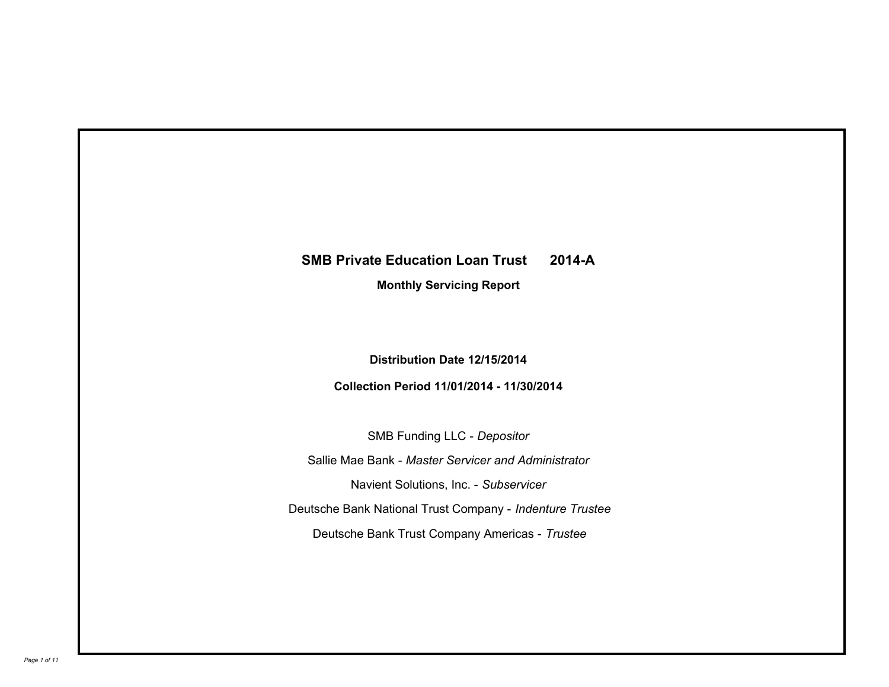# **SMB Private Education Loan Trust 2014-A**

**Monthly Servicing Report**

**Distribution Date 12/15/2014**

**Collection Period 11/01/2014 - 11/30/2014**

SMB Funding LLC - *Depositor* Sallie Mae Bank - *Master Servicer and Administrator* Deutsche Bank National Trust Company - *Indenture Trustee* Deutsche Bank Trust Company Americas - *Trustee* Navient Solutions, Inc. - *Subservicer*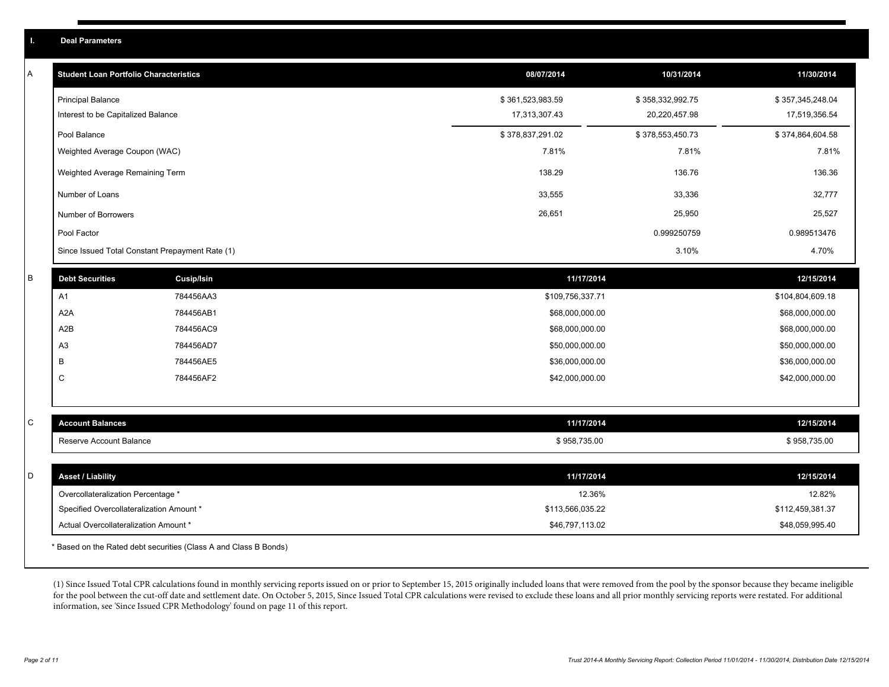| A | <b>Student Loan Portfolio Characteristics</b>   |                   | 08/07/2014       | 10/31/2014       | 11/30/2014       |
|---|-------------------------------------------------|-------------------|------------------|------------------|------------------|
|   | <b>Principal Balance</b>                        |                   | \$361,523,983.59 | \$358,332,992.75 | \$357,345,248.04 |
|   | Interest to be Capitalized Balance              |                   | 17,313,307.43    | 20,220,457.98    | 17,519,356.54    |
|   | Pool Balance                                    |                   | \$378,837,291.02 | \$378,553,450.73 | \$374,864,604.58 |
|   | Weighted Average Coupon (WAC)                   |                   | 7.81%            | 7.81%            | 7.81%            |
|   | Weighted Average Remaining Term                 |                   | 138.29           | 136.76           | 136.36           |
|   | Number of Loans                                 |                   | 33,555           | 33,336           | 32,777           |
|   | Number of Borrowers                             |                   | 26,651           | 25,950           | 25,527           |
|   | Pool Factor                                     |                   |                  | 0.999250759      | 0.989513476      |
|   | Since Issued Total Constant Prepayment Rate (1) |                   |                  | 3.10%            | 4.70%            |
| B | <b>Debt Securities</b>                          | <b>Cusip/Isin</b> | 11/17/2014       |                  | 12/15/2014       |
|   | A1                                              | 784456AA3         | \$109,756,337.71 |                  | \$104,804,609.18 |
|   | A <sub>2</sub> A                                | 784456AB1         | \$68,000,000.00  |                  | \$68,000,000.00  |
|   | A2B                                             | 784456AC9         | \$68,000,000.00  |                  | \$68,000,000.00  |
|   | A <sub>3</sub>                                  | 784456AD7         | \$50,000,000.00  |                  | \$50,000,000.00  |
|   | В                                               | 784456AE5         | \$36,000,000.00  |                  | \$36,000,000.00  |
|   | $\mathsf C$                                     | 784456AF2         | \$42,000,000.00  |                  | \$42,000,000.00  |
|   |                                                 |                   |                  |                  |                  |
| С | <b>Account Balances</b>                         |                   | 11/17/2014       |                  | 12/15/2014       |
|   | Reserve Account Balance                         |                   | \$958,735.00     |                  | \$958,735.00     |
|   |                                                 |                   |                  |                  |                  |
| D | <b>Asset / Liability</b>                        |                   | 11/17/2014       |                  | 12/15/2014       |
|   | Overcollateralization Percentage *              |                   | 12.36%           |                  | 12.82%           |
|   | Specified Overcollateralization Amount *        |                   | \$113,566,035.22 |                  | \$112,459,381.37 |
|   | Actual Overcollateralization Amount *           |                   | \$46,797,113.02  |                  | \$48,059,995.40  |
|   |                                                 |                   |                  |                  |                  |

\* Based on the Rated debt securities (Class A and Class B Bonds)

(1) Since Issued Total CPR calculations found in monthly servicing reports issued on or prior to September 15, 2015 originally included loans that were removed from the pool by the sponsor because they became ineligible for the pool between the cut-off date and settlement date. On October 5, 2015, Since Issued Total CPR calculations were revised to exclude these loans and all prior monthly servicing reports were restated. For additional information, see 'Since Issued CPR Methodology' found on page 11 of this report.

**I. Deal Parameters**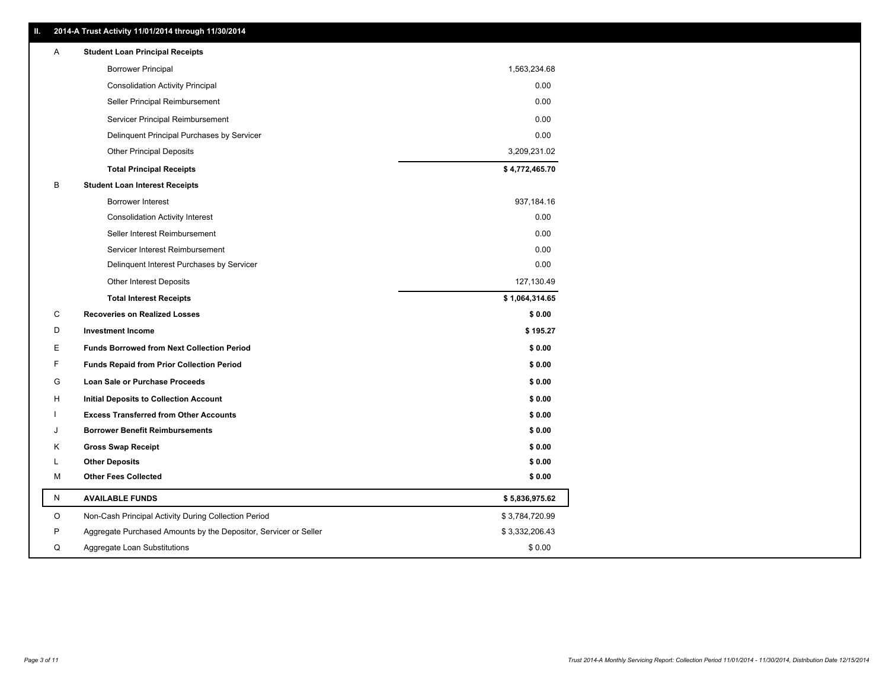|   | 2014-A Trust Activity 11/01/2014 through 11/30/2014              |                |
|---|------------------------------------------------------------------|----------------|
| A | <b>Student Loan Principal Receipts</b>                           |                |
|   | <b>Borrower Principal</b>                                        | 1,563,234.68   |
|   | <b>Consolidation Activity Principal</b>                          | 0.00           |
|   | Seller Principal Reimbursement                                   | 0.00           |
|   | Servicer Principal Reimbursement                                 | 0.00           |
|   | Delinquent Principal Purchases by Servicer                       | 0.00           |
|   | <b>Other Principal Deposits</b>                                  | 3,209,231.02   |
|   | <b>Total Principal Receipts</b>                                  | \$4,772,465.70 |
| В | <b>Student Loan Interest Receipts</b>                            |                |
|   | <b>Borrower Interest</b>                                         | 937,184.16     |
|   | <b>Consolidation Activity Interest</b>                           | 0.00           |
|   | Seller Interest Reimbursement                                    | 0.00           |
|   | Servicer Interest Reimbursement                                  | 0.00           |
|   | Delinquent Interest Purchases by Servicer                        | 0.00           |
|   | <b>Other Interest Deposits</b>                                   | 127,130.49     |
|   | <b>Total Interest Receipts</b>                                   | \$1,064,314.65 |
| C | <b>Recoveries on Realized Losses</b>                             | \$0.00         |
| D | <b>Investment Income</b>                                         | \$195.27       |
| Ε | <b>Funds Borrowed from Next Collection Period</b>                | \$0.00         |
| F | <b>Funds Repaid from Prior Collection Period</b>                 | \$0.00         |
| G | Loan Sale or Purchase Proceeds                                   | \$0.00         |
| н | Initial Deposits to Collection Account                           | \$0.00         |
|   | <b>Excess Transferred from Other Accounts</b>                    | \$0.00         |
| J | <b>Borrower Benefit Reimbursements</b>                           | \$0.00         |
| Κ | <b>Gross Swap Receipt</b>                                        | \$0.00         |
| L | <b>Other Deposits</b>                                            | \$0.00         |
| М | <b>Other Fees Collected</b>                                      | \$0.00         |
| N | <b>AVAILABLE FUNDS</b>                                           | \$5,836,975.62 |
| O | Non-Cash Principal Activity During Collection Period             | \$3,784,720.99 |
| P | Aggregate Purchased Amounts by the Depositor, Servicer or Seller | \$3,332,206.43 |
| Q | Aggregate Loan Substitutions                                     | \$0.00         |

**II. 2014-A Trust Activity 11/01/2014 through 11/30/2014**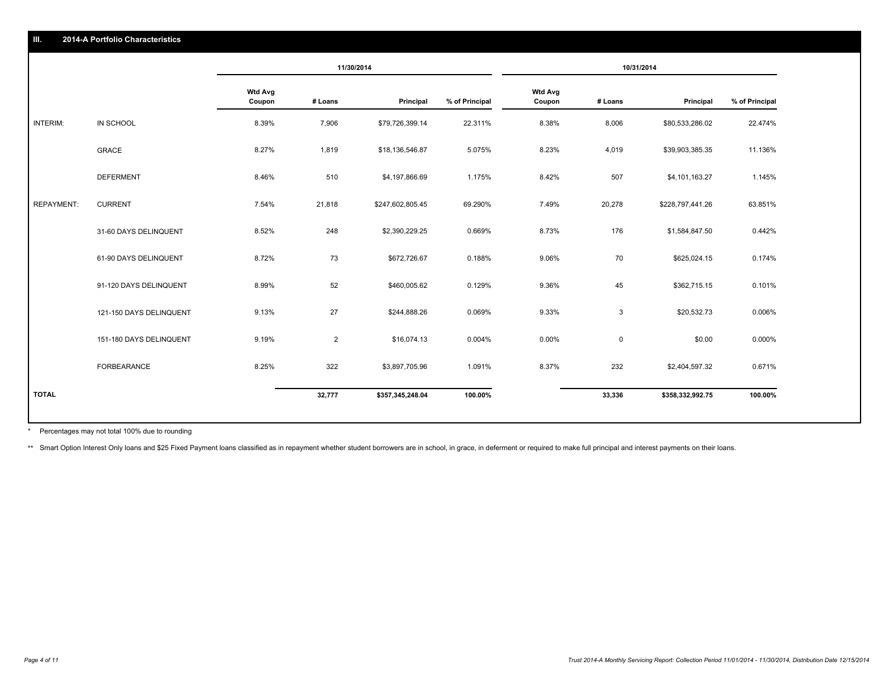|                   |                         | 11/30/2014               |                | 10/31/2014       |                |                          |             |                  |                |
|-------------------|-------------------------|--------------------------|----------------|------------------|----------------|--------------------------|-------------|------------------|----------------|
|                   |                         | <b>Wtd Avg</b><br>Coupon | # Loans        | Principal        | % of Principal | <b>Wtd Avg</b><br>Coupon | # Loans     | Principal        | % of Principal |
| <b>INTERIM:</b>   | IN SCHOOL               | 8.39%                    | 7,906          | \$79,726,399.14  | 22.311%        | 8.38%                    | 8,006       | \$80,533,286.02  | 22.474%        |
|                   | <b>GRACE</b>            | 8.27%                    | 1,819          | \$18,136,546.87  | 5.075%         | 8.23%                    | 4,019       | \$39,903,385.35  | 11.136%        |
|                   | <b>DEFERMENT</b>        | 8.46%                    | 510            | \$4,197,866.69   | 1.175%         | 8.42%                    | 507         | \$4,101,163.27   | 1.145%         |
| <b>REPAYMENT:</b> | <b>CURRENT</b>          | 7.54%                    | 21,818         | \$247,602,805.45 | 69.290%        | 7.49%                    | 20,278      | \$228,797,441.26 | 63.851%        |
|                   | 31-60 DAYS DELINQUENT   | 8.52%                    | 248            | \$2,390,229.25   | 0.669%         | 8.73%                    | 176         | \$1,584,847.50   | 0.442%         |
|                   | 61-90 DAYS DELINQUENT   | 8.72%                    | 73             | \$672,726.67     | 0.188%         | 9.06%                    | 70          | \$625,024.15     | 0.174%         |
|                   | 91-120 DAYS DELINQUENT  | 8.99%                    | 52             | \$460,005.62     | 0.129%         | 9.36%                    | 45          | \$362,715.15     | 0.101%         |
|                   | 121-150 DAYS DELINQUENT | 9.13%                    | 27             | \$244,888.26     | 0.069%         | 9.33%                    | 3           | \$20,532.73      | 0.006%         |
|                   | 151-180 DAYS DELINQUENT | 9.19%                    | $\overline{2}$ | \$16,074.13      | 0.004%         | 0.00%                    | $\mathbf 0$ | \$0.00           | 0.000%         |
|                   | FORBEARANCE             | 8.25%                    | 322            | \$3,897,705.96   | 1.091%         | 8.37%                    | 232         | \$2,404,597.32   | 0.671%         |
| <b>TOTAL</b>      |                         |                          | 32,777         | \$357,345,248.04 | 100.00%        |                          | 33,336      | \$358,332,992.75 | 100.00%        |

Percentages may not total 100% due to rounding \*

**III. 2014-A Portfolio Characteristics**

\*\* Smart Option Interest Only loans and \$25 Fixed Payment loans classified as in repayment whether student borrowers are in school, in grace, in deferment or required to make full principal and interest payments on their l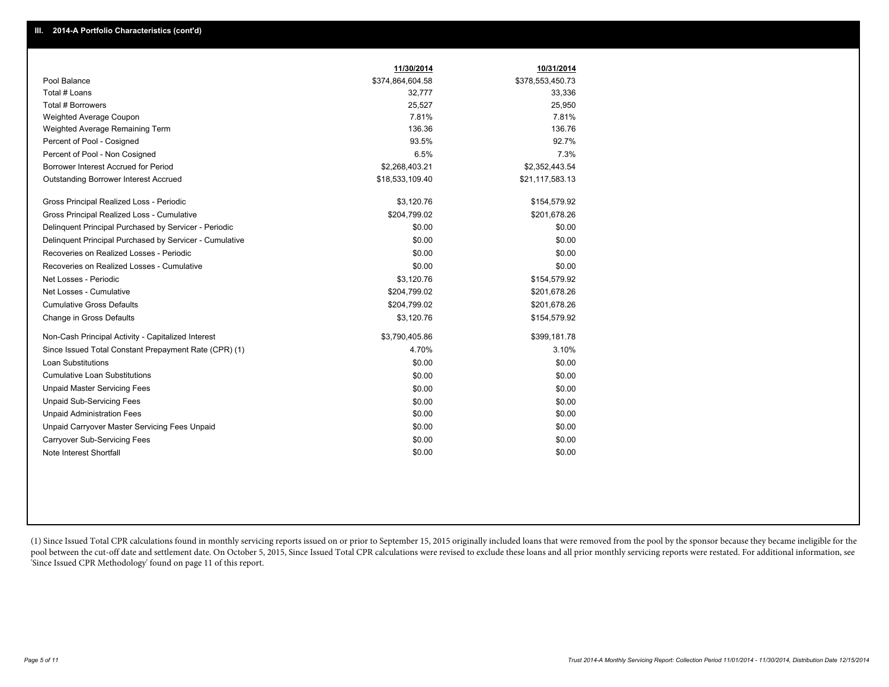|                                                         | 11/30/2014       | 10/31/2014       |
|---------------------------------------------------------|------------------|------------------|
| Pool Balance                                            | \$374,864,604.58 | \$378,553,450.73 |
| Total # Loans                                           | 32,777           | 33,336           |
| Total # Borrowers                                       | 25,527           | 25,950           |
| Weighted Average Coupon                                 | 7.81%            | 7.81%            |
| Weighted Average Remaining Term                         | 136.36           | 136.76           |
| Percent of Pool - Cosigned                              | 93.5%            | 92.7%            |
| Percent of Pool - Non Cosigned                          | 6.5%             | 7.3%             |
| Borrower Interest Accrued for Period                    | \$2,268,403.21   | \$2,352,443.54   |
| Outstanding Borrower Interest Accrued                   | \$18,533,109.40  | \$21,117,583.13  |
| Gross Principal Realized Loss - Periodic                | \$3,120.76       | \$154,579.92     |
| Gross Principal Realized Loss - Cumulative              | \$204,799.02     | \$201,678.26     |
| Delinquent Principal Purchased by Servicer - Periodic   | \$0.00           | \$0.00           |
| Delinquent Principal Purchased by Servicer - Cumulative | \$0.00           | \$0.00           |
| Recoveries on Realized Losses - Periodic                | \$0.00           | \$0.00           |
| Recoveries on Realized Losses - Cumulative              | \$0.00           | \$0.00           |
| Net Losses - Periodic                                   | \$3,120.76       | \$154,579.92     |
| Net Losses - Cumulative                                 | \$204,799.02     | \$201,678.26     |
| <b>Cumulative Gross Defaults</b>                        | \$204,799.02     | \$201,678.26     |
| Change in Gross Defaults                                | \$3,120.76       | \$154,579.92     |
| Non-Cash Principal Activity - Capitalized Interest      | \$3,790,405.86   | \$399,181.78     |
| Since Issued Total Constant Prepayment Rate (CPR) (1)   | 4.70%            | 3.10%            |
| <b>Loan Substitutions</b>                               | \$0.00           | \$0.00           |
| <b>Cumulative Loan Substitutions</b>                    | \$0.00           | \$0.00           |
| <b>Unpaid Master Servicing Fees</b>                     | \$0.00           | \$0.00           |
| <b>Unpaid Sub-Servicing Fees</b>                        | \$0.00           | \$0.00           |
| <b>Unpaid Administration Fees</b>                       | \$0.00           | \$0.00           |
| Unpaid Carryover Master Servicing Fees Unpaid           | \$0.00           | \$0.00           |
| Carryover Sub-Servicing Fees                            | \$0.00           | \$0.00           |
| Note Interest Shortfall                                 | \$0.00           | \$0.00           |

(1) Since Issued Total CPR calculations found in monthly servicing reports issued on or prior to September 15, 2015 originally included loans that were removed from the pool by the sponsor because they became ineligible fo pool between the cut-off date and settlement date. On October 5, 2015, Since Issued Total CPR calculations were revised to exclude these loans and all prior monthly servicing reports were restated. For additional informati 'Since Issued CPR Methodology' found on page 11 of this report.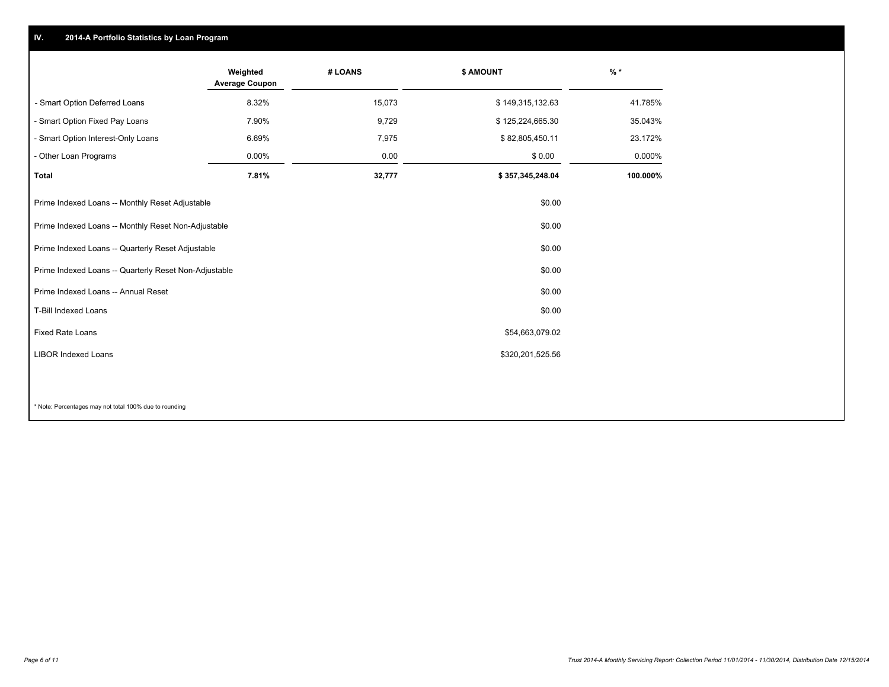### **IV. 2014-A Portfolio Statistics by Loan Program**

|                                                       | Weighted<br><b>Average Coupon</b> | # LOANS | \$ AMOUNT        | $%$ *     |
|-------------------------------------------------------|-----------------------------------|---------|------------------|-----------|
| - Smart Option Deferred Loans                         | 8.32%                             | 15,073  | \$149,315,132.63 | 41.785%   |
| - Smart Option Fixed Pay Loans                        | 7.90%                             | 9,729   | \$125,224,665.30 | 35.043%   |
| - Smart Option Interest-Only Loans                    | 6.69%                             | 7,975   | \$82,805,450.11  | 23.172%   |
| - Other Loan Programs                                 | $0.00\%$                          | 0.00    | \$0.00           | $0.000\%$ |
| <b>Total</b>                                          | 7.81%                             | 32,777  | \$357,345,248.04 | 100.000%  |
| Prime Indexed Loans -- Monthly Reset Adjustable       |                                   |         | \$0.00           |           |
| Prime Indexed Loans -- Monthly Reset Non-Adjustable   |                                   |         | \$0.00           |           |
| Prime Indexed Loans -- Quarterly Reset Adjustable     |                                   |         | \$0.00           |           |
| Prime Indexed Loans -- Quarterly Reset Non-Adjustable |                                   |         | \$0.00           |           |
| Prime Indexed Loans -- Annual Reset                   |                                   |         | \$0.00           |           |
| <b>T-Bill Indexed Loans</b>                           |                                   |         | \$0.00           |           |
| <b>Fixed Rate Loans</b>                               |                                   |         | \$54,663,079.02  |           |
| <b>LIBOR Indexed Loans</b>                            |                                   |         | \$320,201,525.56 |           |
|                                                       |                                   |         |                  |           |

\* Note: Percentages may not total 100% due to rounding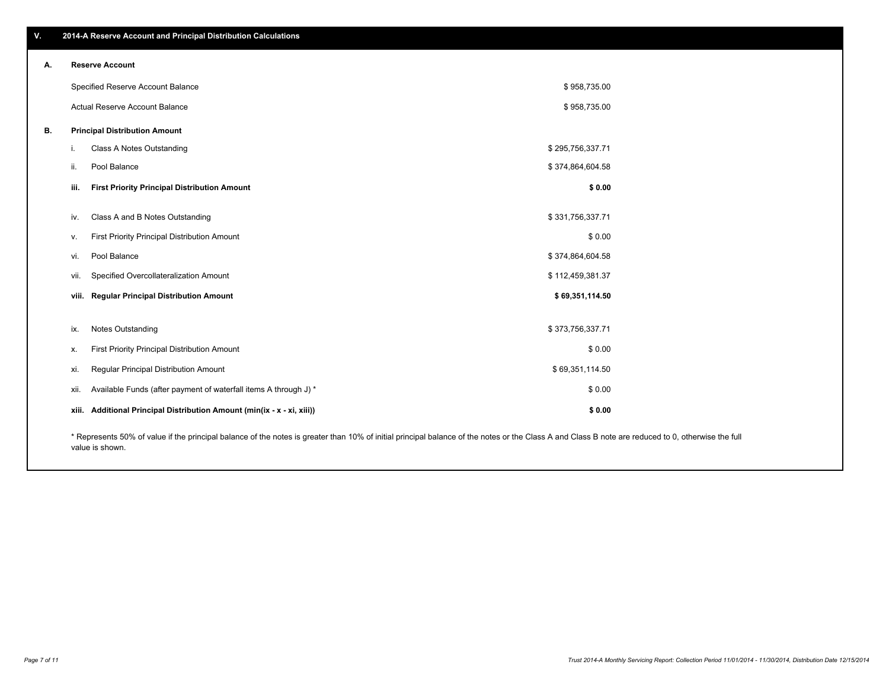| $\mathbf{V}$ | 2014-A Reserve Account and Principal Distribution Calculations |
|--------------|----------------------------------------------------------------|
|              |                                                                |

| А. | <b>Reserve Account</b>                                                                                                                                                                             |                                                                   |                  |  |  |
|----|----------------------------------------------------------------------------------------------------------------------------------------------------------------------------------------------------|-------------------------------------------------------------------|------------------|--|--|
|    |                                                                                                                                                                                                    | Specified Reserve Account Balance                                 | \$958,735.00     |  |  |
|    |                                                                                                                                                                                                    | Actual Reserve Account Balance                                    | \$958,735.00     |  |  |
| В. |                                                                                                                                                                                                    | <b>Principal Distribution Amount</b>                              |                  |  |  |
|    |                                                                                                                                                                                                    | Class A Notes Outstanding                                         | \$295,756,337.71 |  |  |
|    | ii.                                                                                                                                                                                                | Pool Balance                                                      | \$374,864,604.58 |  |  |
|    | iii.                                                                                                                                                                                               | <b>First Priority Principal Distribution Amount</b>               | \$0.00           |  |  |
|    |                                                                                                                                                                                                    |                                                                   |                  |  |  |
|    | iv.                                                                                                                                                                                                | Class A and B Notes Outstanding                                   | \$331,756,337.71 |  |  |
|    | v.                                                                                                                                                                                                 | First Priority Principal Distribution Amount                      | \$0.00           |  |  |
|    | vi.                                                                                                                                                                                                | Pool Balance                                                      | \$374,864,604.58 |  |  |
|    | vii.                                                                                                                                                                                               | Specified Overcollateralization Amount                            | \$112,459,381.37 |  |  |
|    |                                                                                                                                                                                                    | viii. Regular Principal Distribution Amount                       | \$69,351,114.50  |  |  |
|    |                                                                                                                                                                                                    |                                                                   |                  |  |  |
|    | ix.                                                                                                                                                                                                | <b>Notes Outstanding</b>                                          | \$373,756,337.71 |  |  |
|    | х.                                                                                                                                                                                                 | First Priority Principal Distribution Amount                      | \$0.00           |  |  |
|    | xi.                                                                                                                                                                                                | Regular Principal Distribution Amount                             | \$69,351,114.50  |  |  |
|    | xii.                                                                                                                                                                                               | Available Funds (after payment of waterfall items A through J) *  | \$0.00           |  |  |
|    | xiii.                                                                                                                                                                                              | Additional Principal Distribution Amount (min(ix - x - xi, xiii)) | \$0.00           |  |  |
|    | * Represents 50% of value if the principal balance of the notes is greater than 10% of initial principal balance of the notes or the Class A and Class R note are reduced to 0, otherwise the full |                                                                   |                  |  |  |

\* Represents 50% of value if the principal balance of the notes is greater than 10% of initial principal balance of the notes or the Class A and Class B note are reduced to 0, otherwise the full value is shown.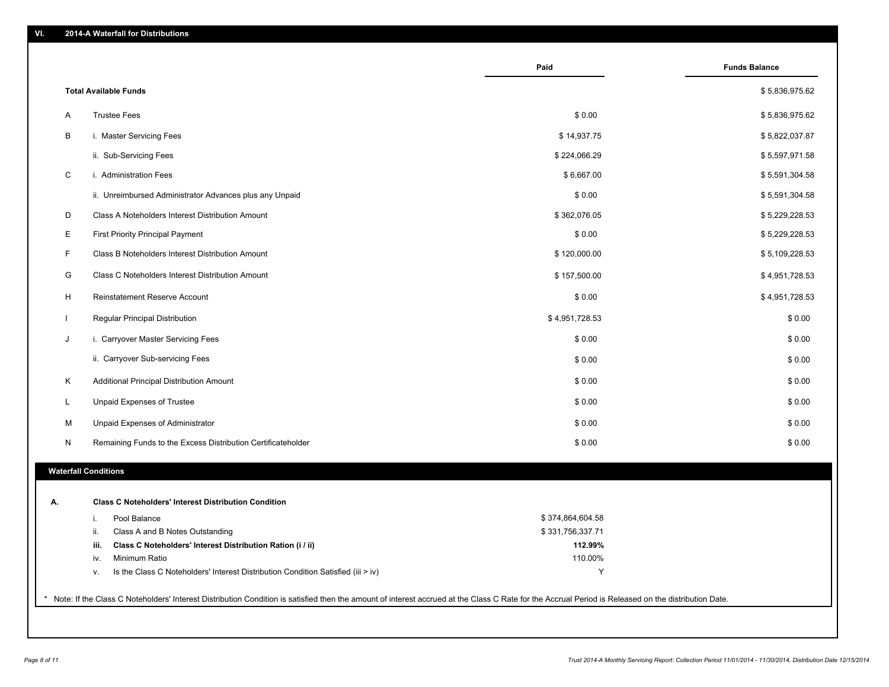|    |                                                                                        | Paid             | <b>Funds Balance</b> |
|----|----------------------------------------------------------------------------------------|------------------|----------------------|
|    | <b>Total Available Funds</b>                                                           |                  | \$5,836,975.62       |
| A  | <b>Trustee Fees</b>                                                                    | \$0.00           | \$5,836,975.62       |
| В  | i. Master Servicing Fees                                                               | \$14,937.75      | \$5,822,037.87       |
|    | ii. Sub-Servicing Fees                                                                 | \$224,066.29     | \$5,597,971.58       |
| C  | i. Administration Fees                                                                 | \$6,667.00       | \$5,591,304.58       |
|    | ii. Unreimbursed Administrator Advances plus any Unpaid                                | \$0.00           | \$5,591,304.58       |
| D  | Class A Noteholders Interest Distribution Amount                                       | \$362,076.05     | \$5,229,228.53       |
| Е  | <b>First Priority Principal Payment</b>                                                | \$0.00           | \$5,229,228.53       |
| F  | Class B Noteholders Interest Distribution Amount                                       | \$120,000.00     | \$5,109,228.53       |
| G  | Class C Noteholders Interest Distribution Amount                                       | \$157,500.00     | \$4,951,728.53       |
| н  | Reinstatement Reserve Account                                                          | \$0.00           | \$4,951,728.53       |
|    | Regular Principal Distribution                                                         | \$4,951,728.53   | \$0.00               |
| J  | i. Carryover Master Servicing Fees                                                     | \$0.00           | \$0.00               |
|    | ii. Carryover Sub-servicing Fees                                                       | \$0.00           | \$0.00               |
| Κ  | Additional Principal Distribution Amount                                               | \$0.00           | \$0.00               |
| L  | Unpaid Expenses of Trustee                                                             | \$0.00           | \$0.00               |
| M  | Unpaid Expenses of Administrator                                                       | \$0.00           | \$0.00               |
| N  | Remaining Funds to the Excess Distribution Certificateholder                           | \$0.00           | \$0.00               |
|    | <b>Waterfall Conditions</b>                                                            |                  |                      |
|    |                                                                                        |                  |                      |
| Α. | <b>Class C Noteholders' Interest Distribution Condition</b>                            |                  |                      |
|    | Pool Balance<br>İ.                                                                     | \$374,864,604.58 |                      |
|    | Class A and B Notes Outstanding<br>ii.                                                 | \$331,756,337.71 |                      |
|    | Class C Noteholders' Interest Distribution Ration (i / ii)<br>iii.                     | 112.99%          |                      |
|    | Minimum Ratio<br>iv.                                                                   | 110.00%          |                      |
|    | Is the Class C Noteholders' Interest Distribution Condition Satisfied (iii > iv)<br>۷. | Υ                |                      |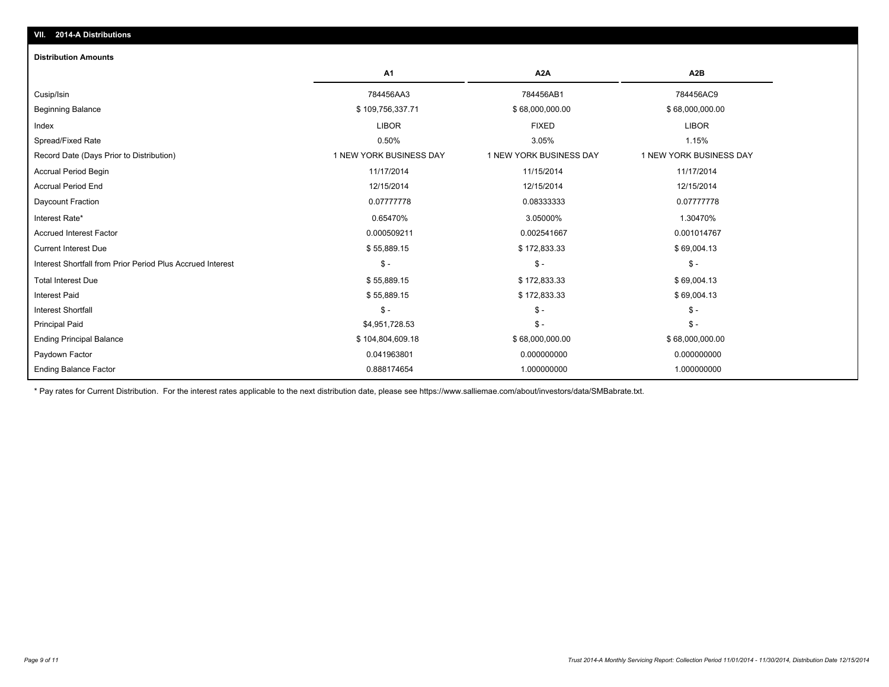#### **Distribution Amounts**

|                                                            | A1                      | A <sub>2</sub> A        | A <sub>2</sub> B        |
|------------------------------------------------------------|-------------------------|-------------------------|-------------------------|
| Cusip/Isin                                                 | 784456AA3               | 784456AB1               | 784456AC9               |
| <b>Beginning Balance</b>                                   | \$109,756,337.71        | \$68,000,000.00         | \$68,000,000.00         |
| Index                                                      | <b>LIBOR</b>            | <b>FIXED</b>            | <b>LIBOR</b>            |
| Spread/Fixed Rate                                          | 0.50%                   | 3.05%                   | 1.15%                   |
| Record Date (Days Prior to Distribution)                   | 1 NEW YORK BUSINESS DAY | 1 NEW YORK BUSINESS DAY | 1 NEW YORK BUSINESS DAY |
| <b>Accrual Period Begin</b>                                | 11/17/2014              | 11/15/2014              | 11/17/2014              |
| <b>Accrual Period End</b>                                  | 12/15/2014              | 12/15/2014              | 12/15/2014              |
| Daycount Fraction                                          | 0.07777778              | 0.08333333              | 0.07777778              |
| Interest Rate*                                             | 0.65470%                | 3.05000%                | 1.30470%                |
| <b>Accrued Interest Factor</b>                             | 0.000509211             | 0.002541667             | 0.001014767             |
| <b>Current Interest Due</b>                                | \$55,889.15             | \$172,833.33            | \$69,004.13             |
| Interest Shortfall from Prior Period Plus Accrued Interest | $S -$                   | $S -$                   | $\mathsf{\$}$ -         |
| <b>Total Interest Due</b>                                  | \$55,889.15             | \$172,833.33            | \$69,004.13             |
| <b>Interest Paid</b>                                       | \$55,889.15             | \$172,833.33            | \$69,004.13             |
| <b>Interest Shortfall</b>                                  | $S -$                   | $\mathsf{\$}$ -         | $\mathbb{S}$ -          |
| <b>Principal Paid</b>                                      | \$4,951,728.53          | $\frac{2}{3}$ -         | $\mathcal{S}$ -         |
| <b>Ending Principal Balance</b>                            | \$104,804,609.18        | \$68,000,000.00         | \$68,000,000.00         |
| Paydown Factor                                             | 0.041963801             | 0.000000000             | 0.000000000             |
| <b>Ending Balance Factor</b>                               | 0.888174654             | 1.000000000             | 1.000000000             |

\* Pay rates for Current Distribution. For the interest rates applicable to the next distribution date, please see https://www.salliemae.com/about/investors/data/SMBabrate.txt.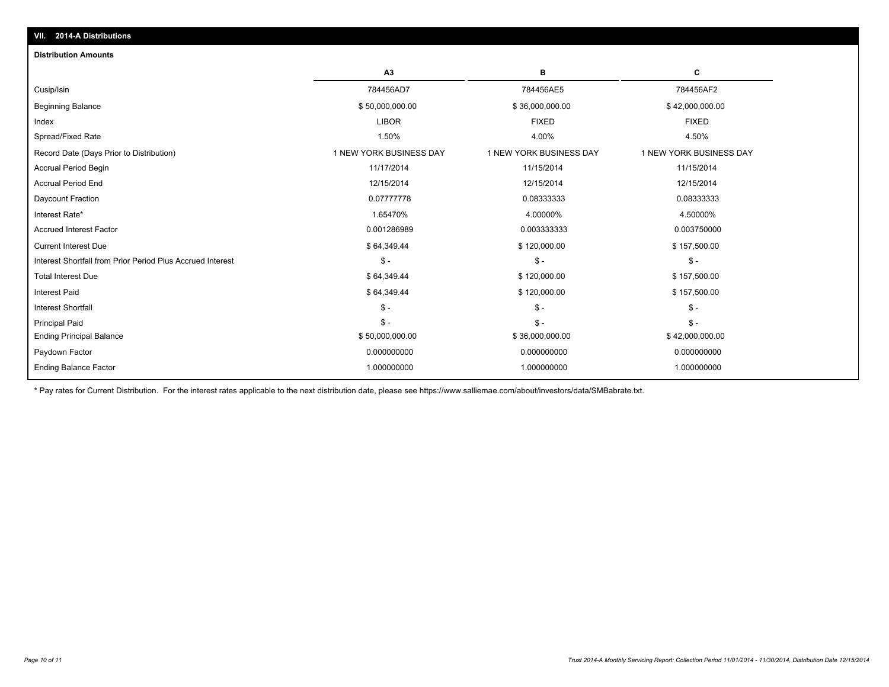| <b>Distribution Amounts</b>                                |                         |                         |                         |
|------------------------------------------------------------|-------------------------|-------------------------|-------------------------|
|                                                            | A3                      | в                       | C                       |
| Cusip/Isin                                                 | 784456AD7               | 784456AE5               | 784456AF2               |
| <b>Beginning Balance</b>                                   | \$50,000,000.00         | \$36,000,000.00         | \$42,000,000.00         |
| Index                                                      | <b>LIBOR</b>            | <b>FIXED</b>            | <b>FIXED</b>            |
| Spread/Fixed Rate                                          | 1.50%                   | 4.00%                   | 4.50%                   |
| Record Date (Days Prior to Distribution)                   | 1 NEW YORK BUSINESS DAY | 1 NEW YORK BUSINESS DAY | 1 NEW YORK BUSINESS DAY |
| <b>Accrual Period Begin</b>                                | 11/17/2014              | 11/15/2014              | 11/15/2014              |
| <b>Accrual Period End</b>                                  | 12/15/2014              | 12/15/2014              | 12/15/2014              |
| Daycount Fraction                                          | 0.07777778              | 0.08333333              | 0.08333333              |
| Interest Rate*                                             | 1.65470%                | 4.00000%                | 4.50000%                |
| <b>Accrued Interest Factor</b>                             | 0.001286989             | 0.003333333             | 0.003750000             |
| <b>Current Interest Due</b>                                | \$64,349.44             | \$120,000.00            | \$157,500.00            |
| Interest Shortfall from Prior Period Plus Accrued Interest | $S -$                   | $\mathsf{\$}$ -         | $\mathsf{\$}$ -         |
| <b>Total Interest Due</b>                                  | \$64,349.44             | \$120,000.00            | \$157,500.00            |
| <b>Interest Paid</b>                                       | \$64,349.44             | \$120,000.00            | \$157,500.00            |
| <b>Interest Shortfall</b>                                  | $\mathsf{\$}$ -         | $\mathsf{\$}$ -         | $\mathsf{\$}$ -         |
| <b>Principal Paid</b>                                      | $S -$                   | $\mathsf{\$}$ -         | $\mathsf{\$}$ -         |
| <b>Ending Principal Balance</b>                            | \$50,000,000.00         | \$36,000,000.00         | \$42,000,000.00         |
| Paydown Factor                                             | 0.000000000             | 0.000000000             | 0.000000000             |
| <b>Ending Balance Factor</b>                               | 1.000000000             | 1.000000000             | 1.000000000             |

\* Pay rates for Current Distribution. For the interest rates applicable to the next distribution date, please see https://www.salliemae.com/about/investors/data/SMBabrate.txt.

**VII. 2014-A Distributions**